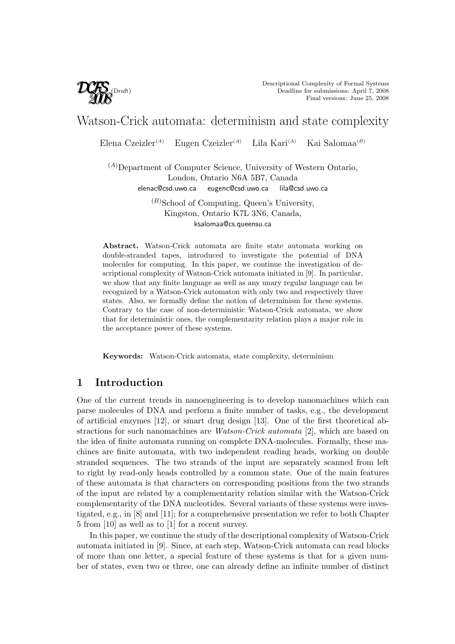

# Watson-Crick automata: determinism and state complexity

Elena Czeizler<sup>(A)</sup> Eugen Czeizler<sup>(A)</sup> Lila Kari<sup>(A)</sup> Kai Salomaa<sup>(B)</sup>

 $(A)$ Department of Computer Science, University of Western Ontario, London, Ontario N6A 5B7, Canada elenac@csd.uwo.ca eugenc@csd.uwo.ca lila@csd.uwo.ca

> $(B)$ School of Computing, Queen's University, Kingston, Ontario K7L 3N6, Canada, ksalomaa@cs.queensu.ca

Abstract. Watson-Crick automata are finite state automata working on double-stranded tapes, introduced to investigate the potential of DNA molecules for computing. In this paper, we continue the investigation of descriptional complexity of Watson-Crick automata initiated in [9]. In particular, we show that any finite language as well as any unary regular language can be recognized by a Watson-Crick automaton with only two and respectively three states. Also, we formally define the notion of determinism for these systems. Contrary to the case of non-deterministic Watson-Crick automata, we show that for deterministic ones, the complementarity relation plays a major role in the acceptance power of these systems.

Keywords: Watson-Crick automata, state complexity, determinism

# 1 Introduction

One of the current trends in nanoengineering is to develop nanomachines which can parse molecules of DNA and perform a finite number of tasks, e.g., the development of artificial enzymes [12], or smart drug design [13]. One of the first theoretical abstractions for such nanomachines are Watson-Crick automata [2], which are based on the idea of finite automata running on complete DNA-molecules. Formally, these machines are finite automata, with two independent reading heads, working on double stranded sequences. The two strands of the input are separately scanned from left to right by read-only heads controlled by a common state. One of the main features of these automata is that characters on corresponding positions from the two strands of the input are related by a complementarity relation similar with the Watson-Crick complementarity of the DNA nucleotides. Several variants of these systems were investigated, e.g., in [8] and [11]; for a comprehensive presentation we refer to both Chapter 5 from [10] as well as to [1] for a recent survey.

In this paper, we continue the study of the descriptional complexity of Watson-Crick automata initiated in [9]. Since, at each step, Watson-Crick automata can read blocks of more than one letter, a special feature of these systems is that for a given number of states, even two or three, one can already define an infinite number of distinct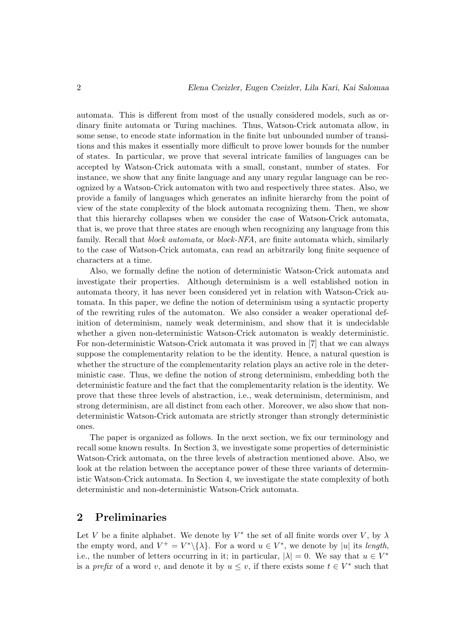automata. This is different from most of the usually considered models, such as ordinary finite automata or Turing machines. Thus, Watson-Crick automata allow, in some sense, to encode state information in the finite but unbounded number of transitions and this makes it essentially more difficult to prove lower bounds for the number of states. In particular, we prove that several intricate families of languages can be accepted by Watson-Crick automata with a small, constant, number of states. For instance, we show that any finite language and any unary regular language can be recognized by a Watson-Crick automaton with two and respectively three states. Also, we provide a family of languages which generates an infinite hierarchy from the point of view of the state complexity of the block automata recognizing them. Then, we show that this hierarchy collapses when we consider the case of Watson-Crick automata, that is, we prove that three states are enough when recognizing any language from this family. Recall that *block automata*, or *block-NFA*, are finite automata which, similarly to the case of Watson-Crick automata, can read an arbitrarily long finite sequence of characters at a time.

Also, we formally define the notion of deterministic Watson-Crick automata and investigate their properties. Although determinism is a well established notion in automata theory, it has never been considered yet in relation with Watson-Crick automata. In this paper, we define the notion of determinism using a syntactic property of the rewriting rules of the automaton. We also consider a weaker operational definition of determinism, namely weak determinism, and show that it is undecidable whether a given non-deterministic Watson-Crick automaton is weakly deterministic. For non-deterministic Watson-Crick automata it was proved in [7] that we can always suppose the complementarity relation to be the identity. Hence, a natural question is whether the structure of the complementarity relation plays an active role in the deterministic case. Thus, we define the notion of strong determinism, embedding both the deterministic feature and the fact that the complementarity relation is the identity. We prove that these three levels of abstraction, i.e., weak determinism, determinism, and strong determinism, are all distinct from each other. Moreover, we also show that nondeterministic Watson-Crick automata are strictly stronger than strongly deterministic ones.

The paper is organized as follows. In the next section, we fix our terminology and recall some known results. In Section 3, we investigate some properties of deterministic Watson-Crick automata, on the three levels of abstraction mentioned above. Also, we look at the relation between the acceptance power of these three variants of deterministic Watson-Crick automata. In Section 4, we investigate the state complexity of both deterministic and non-deterministic Watson-Crick automata.

# 2 Preliminaries

Let V be a finite alphabet. We denote by  $V^*$  the set of all finite words over V, by  $\lambda$ the empty word, and  $V^+ = V^* \backslash {\{\lambda\}}$ . For a word  $u \in V^*$ , we denote by |u| its length, i.e., the number of letters occurring in it; in particular,  $|\lambda| = 0$ . We say that  $u \in V^*$ is a *prefix* of a word v, and denote it by  $u \leq v$ , if there exists some  $t \in V^*$  such that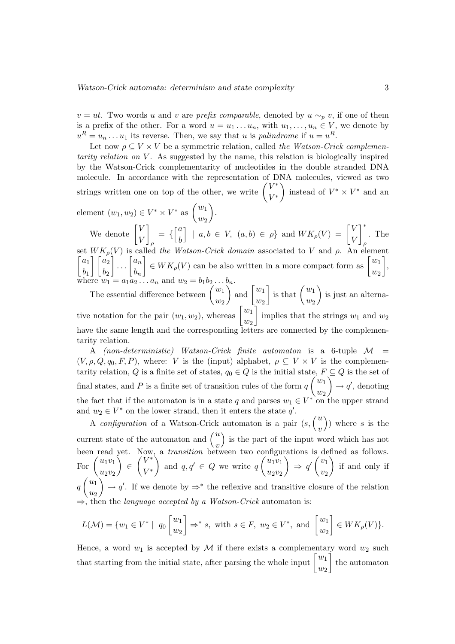$v = ut$ . Two words u and v are *prefix comparable*, denoted by  $u \sim_p v$ , if one of them is a prefix of the other. For a word  $u = u_1 \dots u_n$ , with  $u_1, \dots, u_n \in V$ , we denote by  $u^R = u_n \dots u_1$  its reverse. Then, we say that u is *palindrome* if  $u = u^R$ .

Let now  $\rho \subseteq V \times V$  be a symmetric relation, called the Watson-Crick complementarity relation on  $V$ . As suggested by the name, this relation is biologically inspired by the Watson-Crick complementarity of nucleotides in the double stranded DNA molecule. In accordance with the representation of DNA molecules, viewed as two molecule. In accordance with the representation of D<br>strings written one on top of the other, we write  $\begin{pmatrix} V^* \\ V^* \end{pmatrix}$  $\begin{pmatrix} V^* \\ V^* \end{pmatrix}$  instead of  $V^* \times V^*$  and an  $\mathbf{r}$ 

element  $(w_1, w_2) \in V^* \times V^*$  as  $\begin{pmatrix} w_1 \\ w_2 \end{pmatrix}$  $\begin{pmatrix} w_1 \\ w_2 \end{pmatrix}$ .  $\overline{a}$  $\lceil a \rceil$ 

We denote  $\begin{bmatrix} V \\ V \end{bmatrix}$ V ρ = { b  $\begin{cases} \n\begin{aligned}\n\langle w_2 \rangle \\
\langle a, b \in V, \ (a, b) \in \rho \end{aligned}\n\end{cases}$  and  $WK_{\rho}(V) = \begin{bmatrix} \n\end{bmatrix}$ V V .<br>∗ ר ρ . The set  $WK_{\rho}(V)$  is called the Watson-Crick domain associated to V and  $\rho$ . An element  $a_1$  $b_1$ W  $\Lambda_\rho$ <br>] [a<sub>2</sub>  $b_2$  $\begin{bmatrix} V \end{bmatrix}$  is can  $\begin{bmatrix} a_n \end{bmatrix}$  $b_n$ Let the Watson-Crick domain associated to V and  $\rho$ . An element<br>  $\begin{bmatrix} w_1 \\ w_M \end{bmatrix} \in WK_\rho(V)$  can be also written in a more compact form as  $\begin{bmatrix} w_1 \\ w_M \end{bmatrix}$  $w_2$ n<br>¬ ,  $\mathbf{r}$ 

where  $w_1 = a_1 a_2 ... a_n$  and  $w_2 = b_1 b_2 ... b_n$ .<br>The essential difference between  $\begin{pmatrix} w_1 \\ w_2 \end{pmatrix}$ .  $w_2$  $b_n$ .<br>and  $w_1$  $w_2$  $\Big]$  is that  $\Big(\begin{array}{c} w_1 \end{array}\Big)$  $w_2$ is just an alternative notation for the pair  $(w_1, w_2)$ , whereas  $\begin{bmatrix} w_1 \ w_2 \end{bmatrix}$  $w_2$  $\cdot$ <sup> $\cdot$ </sup> implies that the strings  $w_1$  and  $w_2$ have the same length and the corresponding letters are connected by the complementarity relation.

A (non-deterministic) Watson-Crick finite automaton is a 6-tuple  $\mathcal{M}$  =  $(V, \rho, Q, q_0, F, P)$ , where: V is the (input) alphabet,  $\rho \subseteq V \times V$  is the complementarity relation, Q is a finite set of states,  $q_0 \in Q$  is the initial state,  $F \subseteq Q$  is the set of final states, and P is a finite set of transition rules of the form  $q\binom{w_1}{w_2}$  $\begin{pmatrix} w_1 \\ w_2 \end{pmatrix} \rightarrow q'$ , denoting the fact that if the automaton is in a state q and parses  $w_1 \in V^*$  on the upper strand and  $w_2 \in V^*$  on the lower strand, then it enters the state  $q'$ .

 $w_2 \in V^*$  on the lower strand, then it enters the state q'.<br>A configuration of a Watson-Crick automaton is a pair  $(s, \binom{u}{v})$ current state of the automaton and  $\begin{pmatrix} u \\ v \end{pmatrix}$  is the part of the input w ) where s is the ´ is the part of the input word which has not been read yet. Now, a *transition* between two configurations is defined as follows.<br>For  ${u_1v_1 \choose u_1v_1} \in {V^* \choose v_1}$  and  $q, q' \in Q$  we write  $q{u_1v_1 \choose u_1v_1} \Rightarrow q' {v_1 \choose v_1}$  if and only if  $u_2v_2$  $\hat{\lambda}$ ∈  $\frac{N}{2}$ V ∗  $V^*$  $\zeta$ and  $q, q' \in Q$  we write q  $\frac{1}{2}$  $u_1v_1$  $u_2v_2$ ra<br>`  $\Rightarrow$  q'  $\mathbf{s}_{\textit{\_}}$  $v_1$  $v_2$ נת<br>` if and only if q  $\overline{a}$  $u_1$  $u_2$  $\mathfrak{p}$  $\rightarrow q'$ . If we denote by  $\Rightarrow^*$  the reflexive and transitive closure of the relation  $\Rightarrow$ , then the *language accepted by a Watson-Crick* automaton is:

$$
L(\mathcal{M}) = \{w_1 \in V^* \mid q_0 \begin{bmatrix} w_1 \\ w_2 \end{bmatrix} \Rightarrow^* s, \text{ with } s \in F, w_2 \in V^*, \text{ and } \begin{bmatrix} w_1 \\ w_2 \end{bmatrix} \in WK_\rho(V) \}.
$$

Hence, a word  $w_1$  is accepted by M if there exists a complementary word  $w_2$  such Hence, a word  $w_1$  is accepted by  $\mathcal M$  if there exists a complementa<br>that starting from the initial state, after parsing the whole input  $\begin{bmatrix} w_1 \\ w_2 \end{bmatrix}$  $\begin{bmatrix} w_1 \\ w_2 \end{bmatrix}$  the automaton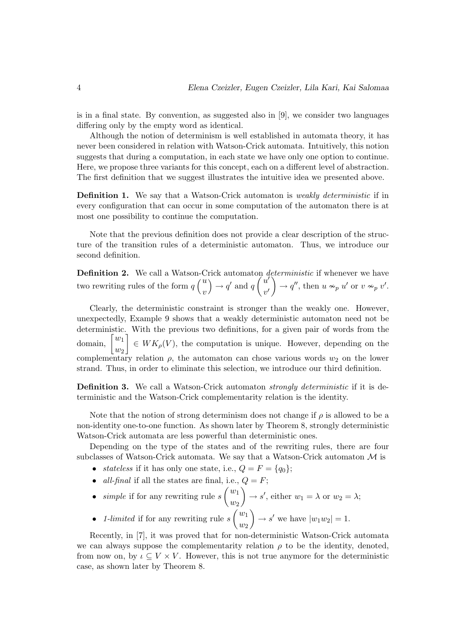is in a final state. By convention, as suggested also in [9], we consider two languages differing only by the empty word as identical.

Although the notion of determinism is well established in automata theory, it has never been considered in relation with Watson-Crick automata. Intuitively, this notion suggests that during a computation, in each state we have only one option to continue. Here, we propose three variants for this concept, each on a different level of abstraction. The first definition that we suggest illustrates the intuitive idea we presented above.

**Definition 1.** We say that a Watson-Crick automaton is *weakly deterministic* if in every configuration that can occur in some computation of the automaton there is at most one possibility to continue the computation.

Note that the previous definition does not provide a clear description of the structure of the transition rules of a deterministic automaton. Thus, we introduce our second definition.

**Definition 2.** We call a Watson-Crick automaton *deterministic* if whenever we have **Dennition 2.** We call a Watson-C<br>two rewriting rules of the form  $q\binom{u}{v}$  $\dot{v}$ rı<br>`  $\rightarrow$  q' and q µ  $\tilde{u'}$  $v'$  $\epsilon t$  $\rightarrow$  q'', then  $u \nsim_p u'$  or  $v \nsim_p v'$ .

Clearly, the deterministic constraint is stronger than the weakly one. However, unexpectedly, Example 9 shows that a weakly deterministic automaton need not be deterministic. With the previous two definitions, for a given pair of words from the deterministic $\lim_{m\to\infty}\int_0^{w_1}$  $\begin{bmatrix} w_1 \ w_2 \end{bmatrix} \in WK_\rho(V)$ , the computation is unique. However, depending on the complementary relation  $\rho$ , the automaton can chose various words  $w_2$  on the lower strand. Thus, in order to eliminate this selection, we introduce our third definition.

**Definition 3.** We call a Watson-Crick automaton *strongly deterministic* if it is deterministic and the Watson-Crick complementarity relation is the identity.

Note that the notion of strong determinism does not change if  $\rho$  is allowed to be a non-identity one-to-one function. As shown later by Theorem 8, strongly deterministic Watson-Crick automata are less powerful than deterministic ones.

Depending on the type of the states and of the rewriting rules, there are four subclasses of Watson-Crick automata. We say that a Watson-Crick automaton  $\mathcal M$  is

- *stateless* if it has only one state, i.e.,  $Q = F = \{q_0\};$
- all-final if all the states are final, i.e.,  $Q = F$ ;  $\frac{1}{2}$  $\frac{1}{\sqrt{2}}$
- $simple$  if for any rewriting rule  $s$  $w_1$  $w_2$  $\rightarrow s'$ , either  $w_1 = \lambda$  or  $w_2 = \lambda$ ;  $\frac{v_2}{\prime}$  $\mathbf{r}$
- *1-limited* if for any rewriting rule s  $w_1$  $w_2$  $\rightarrow s'$  we have  $|w_1w_2|=1$ .

Recently, in [7], it was proved that for non-deterministic Watson-Crick automata we can always suppose the complementarity relation  $\rho$  to be the identity, denoted, from now on, by  $\iota \subseteq V \times V$ . However, this is not true anymore for the deterministic case, as shown later by Theorem 8.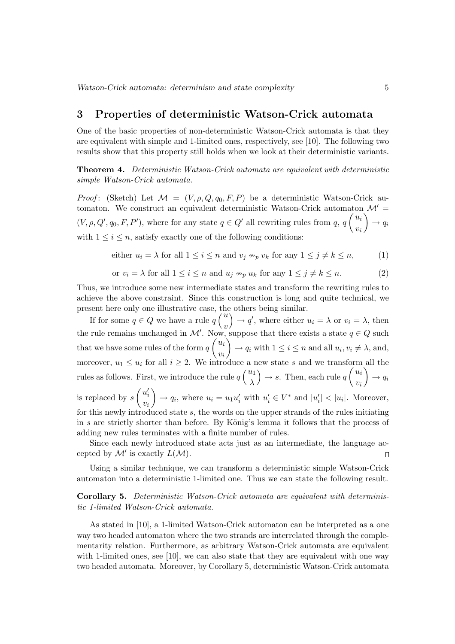### 3 Properties of deterministic Watson-Crick automata

One of the basic properties of non-deterministic Watson-Crick automata is that they are equivalent with simple and 1-limited ones, respectively, see [10]. The following two results show that this property still holds when we look at their deterministic variants.

Theorem 4. Deterministic Watson-Crick automata are equivalent with deterministic simple Watson-Crick automata.

Proof: (Sketch) Let  $\mathcal{M} = (V, \rho, Q, q_0, F, P)$  be a deterministic Watson-Crick automaton. We construct an equivalent deterministic Watson-Crick automaton  $\mathcal{M}' =$  $(V, \rho, Q', q_0, F, P')$ , where for any state  $q \in Q'$  all rewriting rules from  $q, q \nvert u_i$  $\begin{pmatrix} u_i \\ v_i \end{pmatrix} \rightarrow q_i$ with  $1 \leq i \leq n$ , satisfy exactly one of the following conditions:

either 
$$
u_i = \lambda
$$
 for all  $1 \le i \le n$  and  $v_j \nsim_p v_k$  for any  $1 \le j \ne k \le n$ ,  $(1)$ 

or 
$$
v_i = \lambda
$$
 for all  $1 \le i \le n$  and  $u_j \sim_p u_k$  for any  $1 \le j \ne k \le n$ . (2)

Thus, we introduce some new intermediate states and transform the rewriting rules to achieve the above constraint. Since this construction is long and quite technical, we present here only one illustrative case, the others being similar.

Fracture case, the sent here only one illustrative case, the sense of  $q \in Q$  we have a rule  $q \binom{u}{u}$  $\begin{pmatrix} u \\ v \end{pmatrix} \rightarrow q'$ , where either  $u_i = \lambda$  or  $v_i = \lambda$ , then the rule remains unchanged in  $\mathcal{M}'$ . Now, suppose that there exists a state  $q \in Q$  such that we have some rules of the form  $q$ NÇ<br>∕  $u_i$  $v_i$  $\mathbf{S}$  $\rightarrow q_i$  with  $1 \leq i \leq n$  and all  $u_i, v_i \neq \lambda$ , and, moreover,  $u_1 \leq u_i$  for all  $i \geq 2$ . We introduce a new state s and we transform all the rules as follows. First, we introduce the rule  $q\binom{u_1}{v}$ λ ´  $\rightarrow s$ . Then, each rule q  $\frac{1}{2}$  $u_i$  $v_i$  $\mathbf{a}$  $\rightarrow q_i$ is replaced by s  $\overline{a}$  $u_i'$  $v_i$  $\mathbf{r}$  $\rightarrow q_i$ , where  $u_i = u_1 u'_i$  with  $u'_i \in V^*$  and  $|u'_i| < |u_i|$ . Moreover, for this newly introduced state s, the words on the upper strands of the rules initiating in s are strictly shorter than before. By König's lemma it follows that the process of adding new rules terminates with a finite number of rules.

Since each newly introduced state acts just as an intermediate, the language accepted by  $\mathcal{M}'$  is exactly  $L(\mathcal{M})$ .  $\Box$ 

Using a similar technique, we can transform a deterministic simple Watson-Crick automaton into a deterministic 1-limited one. Thus we can state the following result.

#### Corollary 5. Deterministic Watson-Crick automata are equivalent with deterministic 1-limited Watson-Crick automata.

As stated in [10], a 1-limited Watson-Crick automaton can be interpreted as a one way two headed automaton where the two strands are interrelated through the complementarity relation. Furthermore, as arbitrary Watson-Crick automata are equivalent with 1-limited ones, see [10], we can also state that they are equivalent with one way two headed automata. Moreover, by Corollary 5, deterministic Watson-Crick automata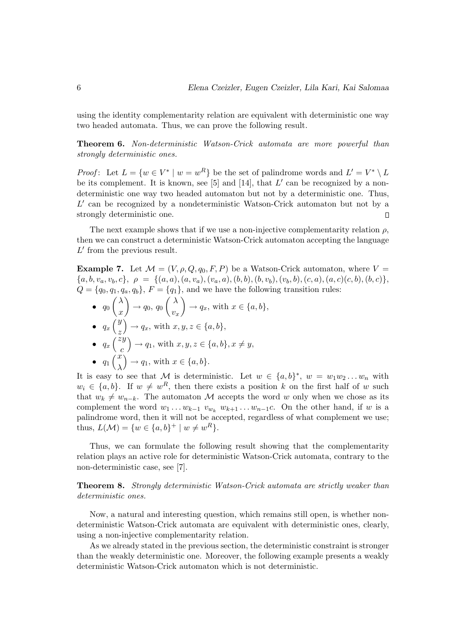using the identity complementarity relation are equivalent with deterministic one way two headed automata. Thus, we can prove the following result.

Theorem 6. Non-deterministic Watson-Crick automata are more powerful than strongly deterministic ones.

*Proof*: Let  $L = \{w \in V^* \mid w = w^R\}$  be the set of palindrome words and  $L' = V^* \setminus L$ be its complement. It is known, see [5] and [14], that  $L'$  can be recognized by a nondeterministic one way two headed automaton but not by a deterministic one. Thus,  $L'$  can be recognized by a nondeterministic Watson-Crick automaton but not by a strongly deterministic one.  $\Box$ 

The next example shows that if we use a non-injective complementarity relation  $\rho$ , then we can construct a deterministic Watson-Crick automaton accepting the language  $L'$  from the previous result.

**Example 7.** Let  $\mathcal{M} = (V, \rho, Q, q_0, F, P)$  be a Watson-Crick automaton, where  $V =$  ${a, b, v_a, v_b, c}, \ \rho = {\{(a, a), (a, v_a), (v_a, a), (b, b), (b, v_b), (v_b, b), (c, a), (a, c)(c, b), (b, c)\}},$  $Q = \{q_0, q_1, q_a, q_b\}, F = \{q_1\},$  and we have the following transition rules:

- $\bullet$   $q_0 \left(\frac{\lambda}{\lambda}\right)$  $\begin{pmatrix} \lambda \ x \end{pmatrix} \rightarrow q_0,\, q_0 \begin{pmatrix} \lambda \ v_2 \end{pmatrix}$  $\begin{pmatrix} x \\ v_x \end{pmatrix} \rightarrow q_x$ , with  $x \in \{a, b\},\$  $\begin{matrix} y \\ y \end{matrix}$  $\frac{1}{\sqrt{2}}$
- $\bullet$   $q_x$ z  $\rightarrow q_x$ , with  $x, y, z \in \{a, b\},\$  $\bullet$   $q_x$  $\begin{array}{c} \sqrt{z} \, y \\ 7 \, z \, y \end{array}$ ´  $\rightarrow q_1$ , with  $x, y, z \in \{a, b\}, x \neq y$ ,

• 
$$
q_x
$$
  $\begin{pmatrix} c \\ c \end{pmatrix}$  with  $x, y, z \in \mathbb{R}^n$ ,  
\n•  $q_1 \begin{pmatrix} x \\ \lambda \end{pmatrix} \rightarrow q_1$ , with  $x \in \{a, b\}$ .

It is easy to see that M is deterministic. Let  $w \in \{a, b\}^*, w = w_1 w_2 ... w_n$  with  $w_i \in \{a, b\}$ . If  $w \neq w^R$ , then there exists a position k on the first half of w such that  $w_k \neq w_{n-k}$ . The automaton M accepts the word w only when we chose as its complement the word  $w_1 \ldots w_{k-1}$   $v_{w_k}$   $w_{k+1} \ldots w_{n-1}$ c. On the other hand, if w is a palindrome word, then it will not be accepted, regardless of what complement we use; thus,  $L(\mathcal{M}) = \{w \in \{a, b\}^+ \mid w \neq w^R\}.$ 

Thus, we can formulate the following result showing that the complementarity relation plays an active role for deterministic Watson-Crick automata, contrary to the non-deterministic case, see [7].

**Theorem 8.** Strongly deterministic Watson-Crick automata are strictly weaker than deterministic ones.

Now, a natural and interesting question, which remains still open, is whether nondeterministic Watson-Crick automata are equivalent with deterministic ones, clearly, using a non-injective complementarity relation.

As we already stated in the previous section, the deterministic constraint is stronger than the weakly deterministic one. Moreover, the following example presents a weakly deterministic Watson-Crick automaton which is not deterministic.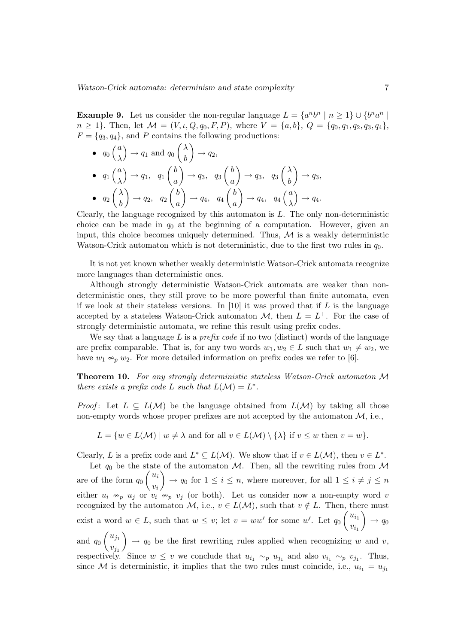**Example 9.** Let us consider the non-regular language  $L = \{a^n b^n \mid n \ge 1\} \cup \{b^n a^n \mid n \ge 1\}$  $n \geq 1$ . Then, let  $\mathcal{M} = (V, \iota, Q, q_0, F, P)$ , where  $V = \{a, b\}$ ,  $Q = \{q_0, q_1, q_2, q_3, q_4\}$ ,  $F = \{q_3, q_4\}$ , and P contains the following productions:

 $\overline{a}$ 

 $\mathbf{r}$ 

•  $q_0$  $\frac{1}{a}$ λ ´  $\rightarrow q_1$  and  $q_0 \begin{pmatrix} \lambda \\ l \end{pmatrix}$  $\binom{n}{b} \rightarrow q_2,$  $\langle a \rangle$  $\overline{a}$ b  $\frac{1}{\sqrt{2}}$  $\overline{a}$ b  $\mathbf{r}$ 

• 
$$
q_1 \begin{pmatrix} a \\ \lambda \end{pmatrix} \rightarrow q_1
$$
,  $q_1 \begin{pmatrix} b \\ a \end{pmatrix} \rightarrow q_3$ ,  $q_3 \begin{pmatrix} b \\ a \end{pmatrix} \rightarrow q_3$ ,  $q_3 \begin{pmatrix} \lambda \\ b \end{pmatrix} \rightarrow q_3$ ,  
\n•  $q_2 \begin{pmatrix} \lambda \\ b \end{pmatrix} \rightarrow q_2$ ,  $q_2 \begin{pmatrix} b \\ a \end{pmatrix} \rightarrow q_4$ ,  $q_4 \begin{pmatrix} b \\ a \end{pmatrix} \rightarrow q_4$ ,  $q_4 \begin{pmatrix} a \\ \lambda \end{pmatrix} \rightarrow q_4$ .

Clearly, the language recognized by this automaton is  $L$ . The only non-deterministic choice can be made in  $q_0$  at the beginning of a computation. However, given an input, this choice becomes uniquely determined. Thus,  $M$  is a weakly deterministic Watson-Crick automaton which is not deterministic, due to the first two rules in  $q_0$ .

It is not yet known whether weakly deterministic Watson-Crick automata recognize more languages than deterministic ones.

Although strongly deterministic Watson-Crick automata are weaker than nondeterministic ones, they still prove to be more powerful than finite automata, even if we look at their stateless versions. In  $[10]$  it was proved that if  $L$  is the language accepted by a stateless Watson-Crick automaton  $\mathcal{M}$ , then  $L = L^+$ . For the case of strongly deterministic automata, we refine this result using prefix codes.

We say that a language  $L$  is a *prefix code* if no two (distinct) words of the language are prefix comparable. That is, for any two words  $w_1, w_2 \in L$  such that  $w_1 \neq w_2$ , we have  $w_1 \nightharpoonup_p w_2$ . For more detailed information on prefix codes we refer to [6].

Theorem 10. For any strongly deterministic stateless Watson-Crick automaton M there exists a prefix code L such that  $L(\mathcal{M}) = L^*$ .

*Proof*: Let  $L \subseteq L(\mathcal{M})$  be the language obtained from  $L(\mathcal{M})$  by taking all those non-empty words whose proper prefixes are not accepted by the automaton  $M$ , i.e.,

 $L = \{w \in L(\mathcal{M}) \mid w \neq \lambda \text{ and for all } v \in L(\mathcal{M}) \setminus \{\lambda\} \text{ if } v \leq w \text{ then } v = w\}.$ 

Clearly, L is a prefix code and  $L^* \subseteq L(\mathcal{M})$ . We show that if  $v \in L(\mathcal{M})$ , then  $v \in L^*$ .

Let  $q_0$  be the state of the automaton M. Then, all the rewriting rules from M are of the form  $q_0\left(\frac{u_i}{v}\right)$  $\begin{cases} \n\alpha_i \ \nu_i \n\end{cases}$   $\rightarrow q_0$  for  $1 \leq i \leq n$ , where moreover, for all  $1 \leq i \neq j \leq n$ either  $u_i \nsim_p u_j$  or  $v_i \nsim_p v_j$  (or both). Let us consider now a non-empty word v recognized by the automaton  $M$ , i.e.,  $v \in L(M)$ , such that  $v \notin L$ . Then, there must exist a word  $w \in L$ , such that  $w \leq v$ ; let  $v = ww'$  for some w'. Let  $q_0\begin{pmatrix}u_{i_1} & \cdots & u_{i_n} \\ \cdots & \cdots & \cdots & \cdots \\ u_{i_n} & \cdots & \cdots & \cdots \end{pmatrix}$  $\begin{pmatrix} a_{i_1} \\ v_{i_1} \end{pmatrix} \rightarrow q_0$ and  $q_0\left(\begin{array}{c}u_{j_1}\end{array}\right)$  $\mathcal{L}$ 

 $v_{j_1}^{(y_1)}$   $\rightarrow$   $q_0$  be the first rewriting rules applied when recognizing w and v, respectively. Since  $w \leq v$  we conclude that  $u_{i_1} \sim_p u_{j_1}$  and also  $v_{i_1} \sim_p v_{j_1}$ . Thus, since M is deterministic, it implies that the two rules must coincide, i.e.,  $u_{i_1} = u_{i_1}$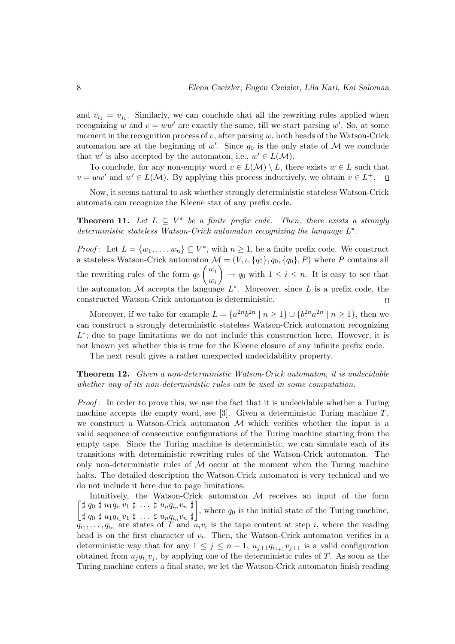and  $v_{i_1} = v_{j_1}$ . Similarly, we can conclude that all the rewriting rules applied when recognizing w and  $v = ww'$  are exactly the same, till we start parsing w'. So, at some moment in the recognition process of  $v$ , after parsing  $w$ , both heads of the Watson-Crick automaton are at the beginning of  $w'$ . Since  $q_0$  is the only state of M we conclude that w' is also accepted by the automaton, i.e.,  $w' \in L(\mathcal{M})$ .

To conclude, for any non-empty word  $v \in L(\mathcal{M}) \setminus L$ , there exists  $w \in L$  such that  $v = ww'$  and  $w' \in L(\mathcal{M})$ . By applying this process inductively, we obtain  $v \in L^+$ .  $\Box$ 

Now, it seems natural to ask whether strongly deterministic stateless Watson-Crick automata can recognize the Kleene star of any prefix code.

**Theorem 11.** Let  $L \subseteq V^*$  be a finite prefix code. Then, there exists a strongly deterministic stateless Watson-Crick automaton recognizing the language  $L^*$ .

*Proof*: Let  $L = \{w_1, \ldots, w_n\} \subseteq V^*$ , with  $n \geq 1$ , be a finite prefix code. We construct a stateless Watson-Crick automaton  $\mathcal{M} = (V, \iota, \{q_0\}, q_0, \{q_0\}, P)$  where P contains all the rewriting rules of the form  $q_0\begin{pmatrix} w_i \end{pmatrix}$  $\begin{pmatrix} w_i \\ w_i \end{pmatrix} \rightarrow q_0$  with  $1 \leq i \leq n$ . It is easy to see that the automaton M accepts the language  $L^*$ . Moreover, since L is a prefix code, the constructed Watson-Crick automaton is deterministic.  $\Box$ 

Moreover, if we take for example  $L = \{a^{2n}b^{2n} \mid n \ge 1\} \cup \{b^{2n}a^{2n} \mid n \ge 1\}$ , then we can construct a strongly deterministic stateless Watson-Crick automaton recognizing  $L^*$ ; due to page limitations we do not include this construction here. However, it is not known yet whether this is true for the Kleene closure of any infinite prefix code.

The next result gives a rather unexpected undecidability property.

#### Theorem 12. Given a non-deterministic Watson-Crick automaton, it is undecidable whether any of its non-deterministic rules can be used in some computation.

Proof: In order to prove this, we use the fact that it is undecidable whether a Turing machine accepts the empty word, see [3]. Given a deterministic Turing machine  $T$ , we construct a Watson-Crick automaton  $\mathcal M$  which verifies whether the input is a valid sequence of consecutive configurations of the Turing machine starting from the empty tape. Since the Turing machine is deterministic, we can simulate each of its transitions with deterministic rewriting rules of the Watson-Crick automaton. The only non-deterministic rules of  $M$  occur at the moment when the Turing machine halts. The detailed description the Watson-Crick automaton is very technical and we do not include it here due to page limitations.

· Intuitively, the Watson-Crick automaton  $\mathcal M$  receives an input of the form  $\sharp$   $q_0$   $\sharp$   $u_1q_{i_1}v_1$   $\sharp$   $\ldots$   $\sharp$   $u_nq_{i_n}v_n$   $\sharp$  $\sharp q_0 \sharp u_1 q_{i_1} v_1 \sharp \ldots \sharp u_n q_{i_n} v_n \sharp$ , where  $q_0$  is the initial state of the Turing machine,  $\sharp q_0 \sharp u_1 q_{i_1} v_1 \sharp \ldots \sharp u_n q_{i_n} v_n \sharp$ .  $q_{i_1}, \ldots, q_{i_n}$  are states of T and  $u_i v_i$  is the tape content at step i, where the reading head is on the first character of  $v_i$ . Then, the Watson-Crick automaton verifies in a deterministic way that for any  $1 \leq j \leq n-1$ ,  $u_{j+1}q_{i,j+1}v_{j+1}$  is a valid configuration obtained from  $u_j q_{i_j} v_j$ , by applying one of the deterministic rules of T. As soon as the Turing machine enters a final state, we let the Watson-Crick automaton finish reading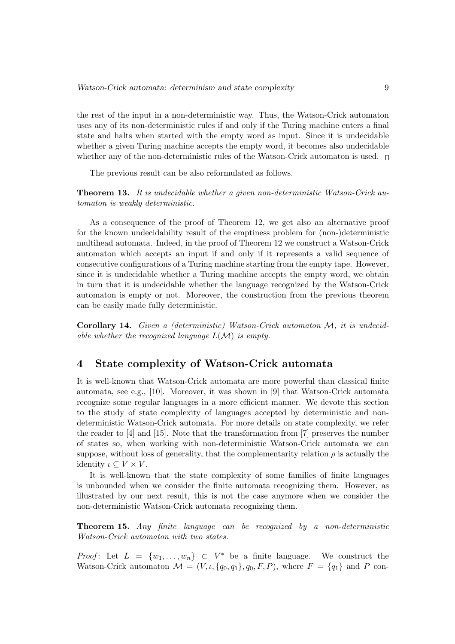the rest of the input in a non-deterministic way. Thus, the Watson-Crick automaton uses any of its non-deterministic rules if and only if the Turing machine enters a final state and halts when started with the empty word as input. Since it is undecidable whether a given Turing machine accepts the empty word, it becomes also undecidable whether any of the non-deterministic rules of the Watson-Crick automaton is used.  $\square$ 

The previous result can be also reformulated as follows.

Theorem 13. It is undecidable whether a given non-deterministic Watson-Crick automaton is weakly deterministic.

As a consequence of the proof of Theorem 12, we get also an alternative proof for the known undecidability result of the emptiness problem for (non-)deterministic multihead automata. Indeed, in the proof of Theorem 12 we construct a Watson-Crick automaton which accepts an input if and only if it represents a valid sequence of consecutive configurations of a Turing machine starting from the empty tape. However, since it is undecidable whether a Turing machine accepts the empty word, we obtain in turn that it is undecidable whether the language recognized by the Watson-Crick automaton is empty or not. Moreover, the construction from the previous theorem can be easily made fully deterministic.

Corollary 14. Given a (deterministic) Watson-Crick automaton M, it is undecidable whether the recognized language  $L(\mathcal{M})$  is empty.

## 4 State complexity of Watson-Crick automata

It is well-known that Watson-Crick automata are more powerful than classical finite automata, see e.g., [10]. Moreover, it was shown in [9] that Watson-Crick automata recognize some regular languages in a more efficient manner. We devote this section to the study of state complexity of languages accepted by deterministic and nondeterministic Watson-Crick automata. For more details on state complexity, we refer the reader to [4] and [15]. Note that the transformation from [7] preserves the number of states so, when working with non-deterministic Watson-Crick automata we can suppose, without loss of generality, that the complementarity relation  $\rho$  is actually the identity  $\iota \subseteq V \times V$ .

It is well-known that the state complexity of some families of finite languages is unbounded when we consider the finite automata recognizing them. However, as illustrated by our next result, this is not the case anymore when we consider the non-deterministic Watson-Crick automata recognizing them.

Theorem 15. Any finite language can be recognized by a non-deterministic Watson-Crick automaton with two states.

*Proof*: Let  $L = \{w_1, \ldots, w_n\} \subset V^*$  be a finite language. We construct the Watson-Crick automaton  $\mathcal{M} = (V, \iota, \{q_0, q_1\}, q_0, F, P)$ , where  $F = \{q_1\}$  and P con-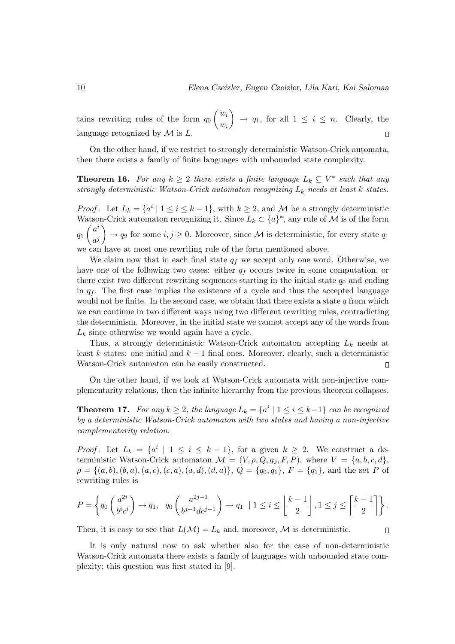$\overline{a}$  $\mathbf{r}$  $w_i$ tains rewriting rules of the form  $q_0$  $\rightarrow q_1$ , for all  $1 \leq i \leq n$ . Clearly, the  $w_i$ language recognized by  $\mathcal M$  is  $L$ .  $\Box$ 

On the other hand, if we restrict to strongly deterministic Watson-Crick automata, then there exists a family of finite languages with unbounded state complexity.

**Theorem 16.** For any  $k \geq 2$  there exists a finite language  $L_k \subseteq V^*$  such that any strongly deterministic Watson-Crick automaton recognizing  $L_k$  needs at least k states.

*Proof*: Let  $L_k = \{a^i \mid 1 \le i \le k-1\}$ , with  $k \ge 2$ , and M be a strongly deterministic Watson-Crick automaton recognizing it. Since  $L_k \subset \{a\}^*$ , any rule of M is of the form  $q_1\left(\begin{array}{c}a^i\end{array}\right)$  $\begin{pmatrix} a & b \\ a^j \end{pmatrix} \rightarrow q_2$  for some  $i, j \ge 0$ . Moreover, since M is deterministic, for every state  $q_1$ we can have at most one rewriting rule of the form mentioned above.

We claim now that in each final state  $q_f$  we accept only one word. Otherwise, we have one of the following two cases: either  $q_f$  occurs twice in some computation, or there exist two different rewriting sequences starting in the initial state  $q_0$  and ending in  $q_f$ . The first case implies the existence of a cycle and thus the accepted language would not be finite. In the second case, we obtain that there exists a state  $q$  from which we can continue in two different ways using two different rewriting rules, contradicting the determinism. Moreover, in the initial state we cannot accept any of the words from  $L_k$  since otherwise we would again have a cycle.

Thus, a strongly deterministic Watson-Crick automaton accepting  $L_k$  needs at least k states: one initial and  $k-1$  final ones. Moreover, clearly, such a deterministic Watson-Crick automaton can be easily constructed.  $\Box$ 

On the other hand, if we look at Watson-Crick automata with non-injective complementarity relations, then the infinite hierarchy from the previous theorem collapses.

**Theorem 17.** For any  $k \geq 2$ , the language  $L_k = \{a^i \mid 1 \leq i \leq k-1\}$  can be recognized by a deterministic Watson-Crick automaton with two states and having a non-injective complementarity relation.

*Proof*: Let  $L_k = \{a^i \mid 1 \le i \le k-1\}$ , for a given  $k \ge 2$ . We construct a deterministic Watson-Crick automaton  $\mathcal{M} = (V, \rho, Q, q_0, F, P)$ , where  $V = \{a, b, c, d\}$ ,  $\rho = \{(a, b), (b, a), (a, c), (c, a), (a, d), (d, a)\}, Q = \{q_0, q_1\}, F = \{q_1\}, \text{ and the set } P \text{ of }$ rewriting rules is

$$
P = \left\{ q_0 \begin{pmatrix} a^{2i} \\ bi \, c^i \end{pmatrix} \to q_1, \ q_0 \begin{pmatrix} a^{2j-1} \\ bi^{-1}dci^{-1} \end{pmatrix} \to q_1 \ |1 \leq i \leq \left\lfloor \frac{k-1}{2} \right\rfloor, 1 \leq j \leq \left\lceil \frac{k-1}{2} \right\rceil \right\}.
$$

Then, it is easy to see that  $L(\mathcal{M}) = L_k$  and, moreover, M is deterministic.

 $\Box$ 

It is only natural now to ask whether also for the case of non-deterministic Watson-Crick automata there exists a family of languages with unbounded state complexity; this question was first stated in [9].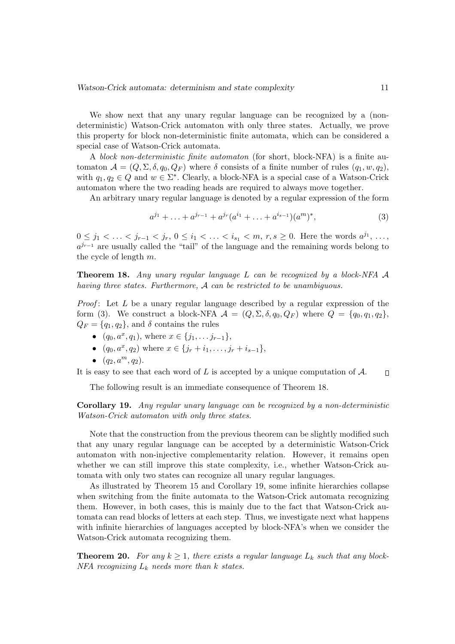We show next that any unary regular language can be recognized by a (nondeterministic) Watson-Crick automaton with only three states. Actually, we prove this property for block non-deterministic finite automata, which can be considered a special case of Watson-Crick automata.

A block non-deterministic finite automaton (for short, block-NFA) is a finite automaton  $\mathcal{A} = (Q, \Sigma, \delta, q_0, Q_F)$  where  $\delta$  consists of a finite number of rules  $(q_1, w, q_2)$ , with  $q_1, q_2 \in Q$  and  $w \in \Sigma^*$ . Clearly, a block-NFA is a special case of a Watson-Crick automaton where the two reading heads are required to always move together.

An arbitrary unary regular language is denoted by a regular expression of the form

$$
a^{j_1} + \ldots + a^{j_{r-1}} + a^{j_r}(a^{i_1} + \ldots + a^{i_{s-1}})(a^m)^*,
$$
\n(3)

 $0 \leq j_1 < \ldots < j_{r-1} < j_r, 0 \leq i_1 < \ldots < i_{s_1} < m, r, s \geq 0$ . Here the words  $a^{j_1}, \ldots,$  $a^{j_{r-1}}$  are usually called the "tail" of the language and the remaining words belong to the cycle of length m.

**Theorem 18.** Any unary regular language  $L$  can be recognized by a block-NFA  $\mathcal A$ having three states. Furthermore, A can be restricted to be unambiguous.

*Proof*: Let  $L$  be a unary regular language described by a regular expression of the form (3). We construct a block-NFA  $\mathcal{A} = (Q, \Sigma, \delta, q_0, Q_F)$  where  $Q = \{q_0, q_1, q_2\},\$  $Q_F = \{q_1, q_2\}$ , and  $\delta$  contains the rules

- $(q_0, a^x, q_1)$ , where  $x \in \{j_1, \ldots, j_{r-1}\},$
- $(q_0, a^x, q_2)$  where  $x \in \{j_r + i_1, \ldots, j_r + i_{s-1}\},\$
- $(q_2, a^m, q_2)$ .

It is easy to see that each word of  $L$  is accepted by a unique computation of  $A$ .  $\Box$ 

The following result is an immediate consequence of Theorem 18.

Corollary 19. Any regular unary language can be recognized by a non-deterministic Watson-Crick automaton with only three states.

Note that the construction from the previous theorem can be slightly modified such that any unary regular language can be accepted by a deterministic Watson-Crick automaton with non-injective complementarity relation. However, it remains open whether we can still improve this state complexity, i.e., whether Watson-Crick automata with only two states can recognize all unary regular languages.

As illustrated by Theorem 15 and Corollary 19, some infinite hierarchies collapse when switching from the finite automata to the Watson-Crick automata recognizing them. However, in both cases, this is mainly due to the fact that Watson-Crick automata can read blocks of letters at each step. Thus, we investigate next what happens with infinite hierarchies of languages accepted by block-NFA's when we consider the Watson-Crick automata recognizing them.

**Theorem 20.** For any  $k \geq 1$ , there exists a regular language  $L_k$  such that any block-NFA recognizing  $L_k$  needs more than k states.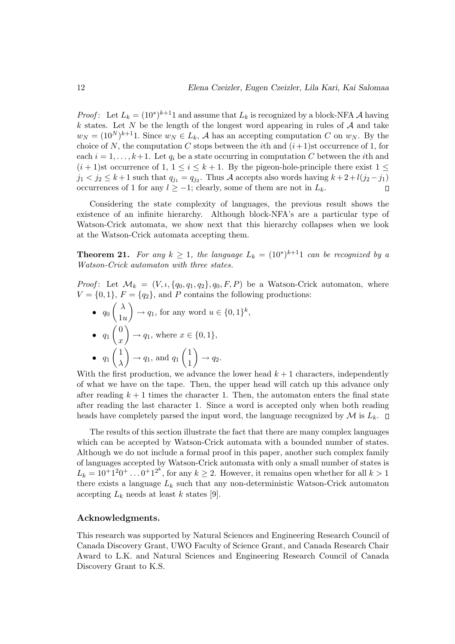*Proof*: Let  $L_k = (10^*)^{k+1}1$  and assume that  $L_k$  is recognized by a block-NFA A having k states. Let N be the length of the longest word appearing in rules of  $A$  and take  $w_N = (10^N)^{k+1}$ 1. Since  $w_N \in L_k$ , A has an accepting computation C on  $w_N$ . By the choice of N, the computation C stops between the *i*th and  $(i+1)$ st occurrence of 1, for each  $i = 1, \ldots, k+1$ . Let  $q_i$  be a state occurring in computation C between the *i*th and  $(i+1)$ st occurrence of 1,  $1 \leq i \leq k+1$ . By the pigeon-hole-principle there exist  $1 \leq$  $j_1 < j_2 \leq k+1$  such that  $q_{j_1} = q_{j_2}$ . Thus A accepts also words having  $k+2+l(j_2-j_1)$ occurrences of 1 for any  $l \ge -1$ ; clearly, some of them are not in  $L_k$ .  $\Box$ 

Considering the state complexity of languages, the previous result shows the existence of an infinite hierarchy. Although block-NFA's are a particular type of Watson-Crick automata, we show next that this hierarchy collapses when we look at the Watson-Crick automata accepting them.

**Theorem 21.** For any  $k \geq 1$ , the language  $L_k = (10^*)^{k+1}1$  can be recognized by a Watson-Crick automaton with three states.

*Proof:* Let  $\mathcal{M}_k = (V, \iota, \{q_0, q_1, q_2\}, q_0, F, P)$  be a Watson-Crick automaton, where  $V = \{0, 1\}, F = \{q_2\}, \text{ and } P \text{ contains the following productions:}$ 

 $\bullet$   $q_0 \begin{pmatrix} \lambda \\ 1 \end{pmatrix}$  $\begin{pmatrix} 1 \\ 1 \end{pmatrix} \rightarrow q_1$ , for any word  $u \in \{0,1\}^k$ ,  $\bullet$   $q_1$  $\frac{1}{2}$ 0  $\boldsymbol{x}$  $\frac{u}{\sqrt{2}}$  $\rightarrow q_1$ , where  $x \in \{0, 1\}$ ,  $\bullet$   $q_1$  $\sum$ 1 λ  $\frac{1}{\sqrt{2}}$  $\rightarrow q_1$ , and  $q_1$  $\overline{a}$ 1 1  $\mathbf{r}$  $\rightarrow$   $q_2$ .

With the first production, we advance the lower head  $k + 1$  characters, independently of what we have on the tape. Then, the upper head will catch up this advance only after reading  $k + 1$  times the character 1. Then, the automaton enters the final state after reading the last character 1. Since a word is accepted only when both reading heads have completely parsed the input word, the language recognized by  $\mathcal M$  is  $L_k$ .

The results of this section illustrate the fact that there are many complex languages which can be accepted by Watson-Crick automata with a bounded number of states. Although we do not include a formal proof in this paper, another such complex family of languages accepted by Watson-Crick automata with only a small number of states is  $L_k = 10^{+12}0^+ \dots 0^{+12^k}$ , for any  $k \geq 2$ . However, it remains open whether for all  $k > 1$ there exists a language  $L_k$  such that any non-deterministic Watson-Crick automaton accepting  $L_k$  needs at least k states [9].

#### Acknowledgments.

This research was supported by Natural Sciences and Engineering Research Council of Canada Discovery Grant, UWO Faculty of Science Grant, and Canada Research Chair Award to L.K. and Natural Sciences and Engineering Research Council of Canada Discovery Grant to K.S.